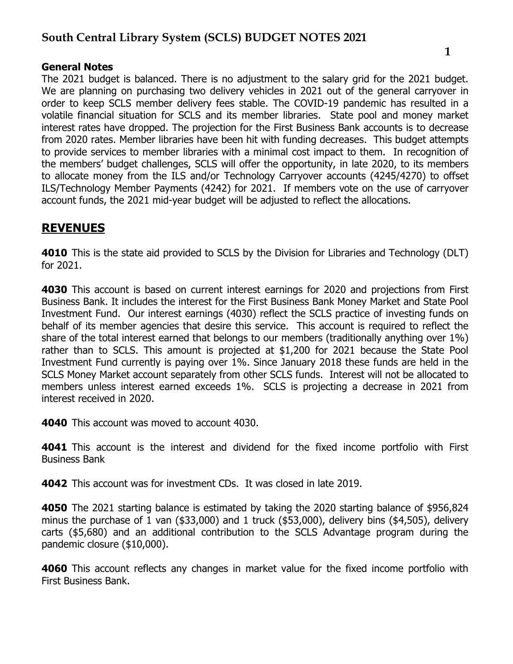### General Notes

The 2021 budget is balanced. There is no adjustment to the salary grid for the 2021 budget. We are planning on purchasing two delivery vehicles in 2021 out of the general carryover in order to keep SCLS member delivery fees stable. The COVID-19 pandemic has resulted in a volatile financial situation for SCLS and its member libraries. State pool and money market interest rates have dropped. The projection for the First Business Bank accounts is to decrease from 2020 rates. Member libraries have been hit with funding decreases. This budget attempts to provide services to member libraries with a minimal cost impact to them. In recognition of the members' budget challenges, SCLS will offer the opportunity, in late 2020, to its members to allocate money from the ILS and/or Technology Carryover accounts (4245/4270) to offset ILS/Technology Member Payments (4242) for 2021. If members vote on the use of carryover account funds, the 2021 mid-year budget will be adjusted to reflect the allocations.

### **REVENUES**

4010 This is the state aid provided to SCLS by the Division for Libraries and Technology (DLT) for 2021.

**4030** This account is based on current interest earnings for 2020 and projections from First Business Bank. It includes the interest for the First Business Bank Money Market and State Pool Investment Fund. Our interest earnings (4030) reflect the SCLS practice of investing funds on behalf of its member agencies that desire this service. This account is required to reflect the share of the total interest earned that belongs to our members (traditionally anything over 1%) rather than to SCLS. This amount is projected at \$1,200 for 2021 because the State Pool Investment Fund currently is paying over 1%. Since January 2018 these funds are held in the SCLS Money Market account separately from other SCLS funds. Interest will not be allocated to members unless interest earned exceeds 1%. SCLS is projecting a decrease in 2021 from interest received in 2020.

4040 This account was moved to account 4030.

4041 This account is the interest and dividend for the fixed income portfolio with First Business Bank

4042 This account was for investment CDs. It was closed in late 2019.

4050 The 2021 starting balance is estimated by taking the 2020 starting balance of \$956,824 minus the purchase of 1 van (\$33,000) and 1 truck (\$53,000), delivery bins (\$4,505), delivery carts (\$5,680) and an additional contribution to the SCLS Advantage program during the pandemic closure (\$10,000).

**4060** This account reflects any changes in market value for the fixed income portfolio with First Business Bank.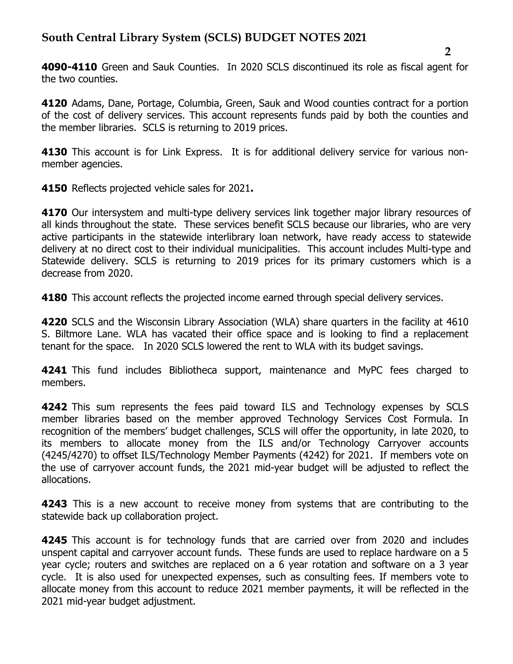4090-4110 Green and Sauk Counties. In 2020 SCLS discontinued its role as fiscal agent for the two counties.

4120 Adams, Dane, Portage, Columbia, Green, Sauk and Wood counties contract for a portion of the cost of delivery services. This account represents funds paid by both the counties and the member libraries. SCLS is returning to 2019 prices.

4130 This account is for Link Express. It is for additional delivery service for various nonmember agencies.

**4150** Reflects projected vehicle sales for 2021.

**4170** Our intersystem and multi-type delivery services link together major library resources of all kinds throughout the state. These services benefit SCLS because our libraries, who are very active participants in the statewide interlibrary loan network, have ready access to statewide delivery at no direct cost to their individual municipalities. This account includes Multi-type and Statewide delivery. SCLS is returning to 2019 prices for its primary customers which is a decrease from 2020.

**4180** This account reflects the projected income earned through special delivery services.

4220 SCLS and the Wisconsin Library Association (WLA) share quarters in the facility at 4610 S. Biltmore Lane. WLA has vacated their office space and is looking to find a replacement tenant for the space. In 2020 SCLS lowered the rent to WLA with its budget savings.

4241 This fund includes Bibliotheca support, maintenance and MyPC fees charged to members.

4242 This sum represents the fees paid toward ILS and Technology expenses by SCLS member libraries based on the member approved Technology Services Cost Formula. In recognition of the members' budget challenges, SCLS will offer the opportunity, in late 2020, to its members to allocate money from the ILS and/or Technology Carryover accounts (4245/4270) to offset ILS/Technology Member Payments (4242) for 2021. If members vote on the use of carryover account funds, the 2021 mid-year budget will be adjusted to reflect the allocations.

**4243** This is a new account to receive money from systems that are contributing to the statewide back up collaboration project.

**4245** This account is for technology funds that are carried over from 2020 and includes unspent capital and carryover account funds. These funds are used to replace hardware on a 5 year cycle; routers and switches are replaced on a 6 year rotation and software on a 3 year cycle. It is also used for unexpected expenses, such as consulting fees. If members vote to allocate money from this account to reduce 2021 member payments, it will be reflected in the 2021 mid-year budget adjustment.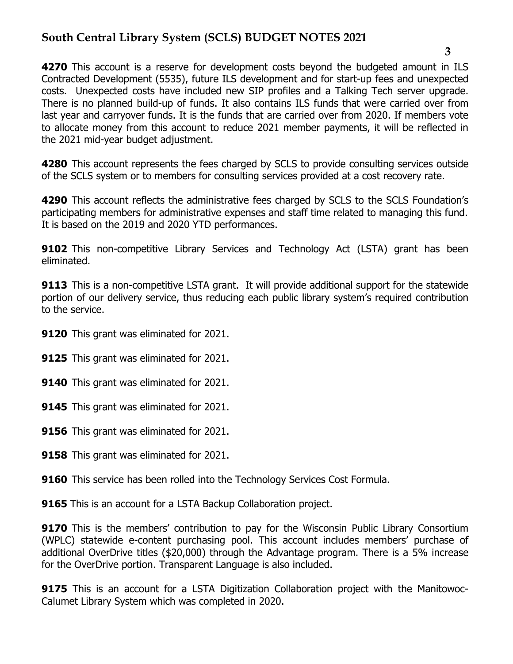4270 This account is a reserve for development costs beyond the budgeted amount in ILS Contracted Development (5535), future ILS development and for start-up fees and unexpected costs. Unexpected costs have included new SIP profiles and a Talking Tech server upgrade. There is no planned build-up of funds. It also contains ILS funds that were carried over from last year and carryover funds. It is the funds that are carried over from 2020. If members vote to allocate money from this account to reduce 2021 member payments, it will be reflected in the 2021 mid-year budget adjustment.

4280 This account represents the fees charged by SCLS to provide consulting services outside of the SCLS system or to members for consulting services provided at a cost recovery rate.

4290 This account reflects the administrative fees charged by SCLS to the SCLS Foundation's participating members for administrative expenses and staff time related to managing this fund. It is based on the 2019 and 2020 YTD performances.

**9102** This non-competitive Library Services and Technology Act (LSTA) grant has been eliminated.

**9113** This is a non-competitive LSTA grant. It will provide additional support for the statewide portion of our delivery service, thus reducing each public library system's required contribution to the service.

- 9120 This grant was eliminated for 2021.
- **9125** This grant was eliminated for 2021.
- 9140 This grant was eliminated for 2021.
- **9145** This grant was eliminated for 2021.
- 9156 This grant was eliminated for 2021.
- **9158** This grant was eliminated for 2021.
- **9160** This service has been rolled into the Technology Services Cost Formula.
- **9165** This is an account for a LSTA Backup Collaboration project.

**9170** This is the members' contribution to pay for the Wisconsin Public Library Consortium (WPLC) statewide e-content purchasing pool. This account includes members' purchase of additional OverDrive titles (\$20,000) through the Advantage program. There is a 5% increase for the OverDrive portion. Transparent Language is also included.

**9175** This is an account for a LSTA Digitization Collaboration project with the Manitowoc-Calumet Library System which was completed in 2020.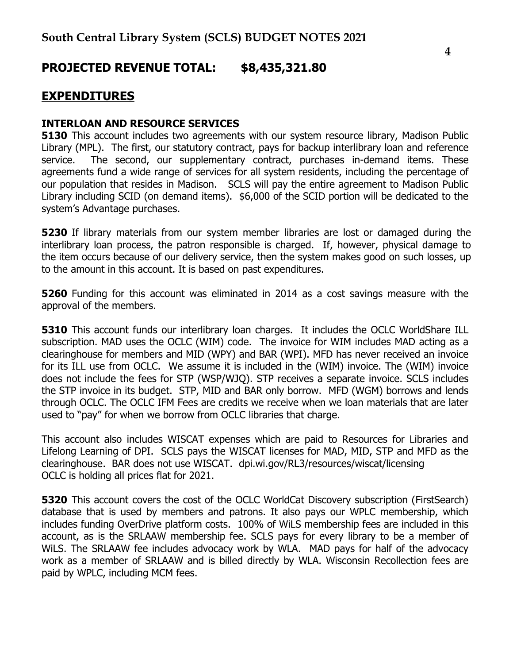# PROJECTED REVENUE TOTAL: \$8,435,321.80

### EXPENDITURES

#### INTERLOAN AND RESOURCE SERVICES

**5130** This account includes two agreements with our system resource library, Madison Public Library (MPL). The first, our statutory contract, pays for backup interlibrary loan and reference service. The second, our supplementary contract, purchases in-demand items. These agreements fund a wide range of services for all system residents, including the percentage of our population that resides in Madison. SCLS will pay the entire agreement to Madison Public Library including SCID (on demand items). \$6,000 of the SCID portion will be dedicated to the system's Advantage purchases.

**5230** If library materials from our system member libraries are lost or damaged during the interlibrary loan process, the patron responsible is charged. If, however, physical damage to the item occurs because of our delivery service, then the system makes good on such losses, up to the amount in this account. It is based on past expenditures.

**5260** Funding for this account was eliminated in 2014 as a cost savings measure with the approval of the members.

**5310** This account funds our interlibrary loan charges. It includes the OCLC WorldShare ILL subscription. MAD uses the OCLC (WIM) code. The invoice for WIM includes MAD acting as a clearinghouse for members and MID (WPY) and BAR (WPI). MFD has never received an invoice for its ILL use from OCLC. We assume it is included in the (WIM) invoice. The (WIM) invoice does not include the fees for STP (WSP/WJQ). STP receives a separate invoice. SCLS includes the STP invoice in its budget. STP, MID and BAR only borrow. MFD (WGM) borrows and lends through OCLC. The OCLC IFM Fees are credits we receive when we loan materials that are later used to "pay" for when we borrow from OCLC libraries that charge.

This account also includes WISCAT expenses which are paid to Resources for Libraries and Lifelong Learning of DPI. SCLS pays the WISCAT licenses for MAD, MID, STP and MFD as the clearinghouse. BAR does not use WISCAT. dpi.wi.gov/RL3/resources/wiscat/licensing OCLC is holding all prices flat for 2021.

5320 This account covers the cost of the OCLC WorldCat Discovery subscription (FirstSearch) database that is used by members and patrons. It also pays our WPLC membership, which includes funding OverDrive platform costs. 100% of WiLS membership fees are included in this account, as is the SRLAAW membership fee. SCLS pays for every library to be a member of WiLS. The SRLAAW fee includes advocacy work by WLA. MAD pays for half of the advocacy work as a member of SRLAAW and is billed directly by WLA. Wisconsin Recollection fees are paid by WPLC, including MCM fees.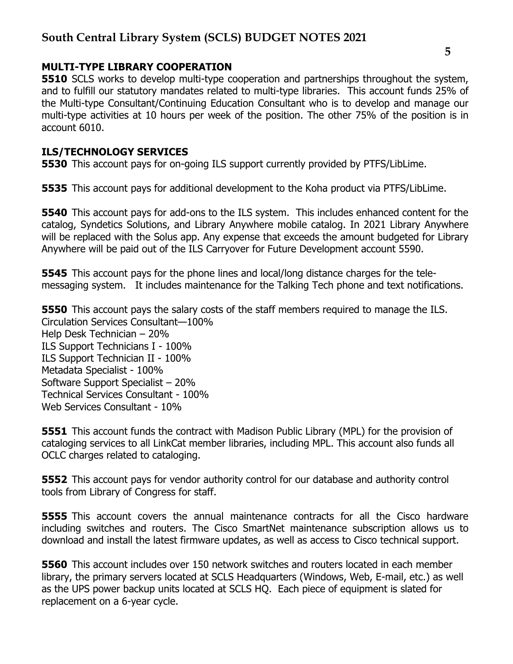#### MULTI-TYPE LIBRARY COOPERATION

**5510** SCLS works to develop multi-type cooperation and partnerships throughout the system, and to fulfill our statutory mandates related to multi-type libraries. This account funds 25% of the Multi-type Consultant/Continuing Education Consultant who is to develop and manage our multi-type activities at 10 hours per week of the position. The other 75% of the position is in account 6010.

#### ILS/TECHNOLOGY SERVICES

5530 This account pays for on-going ILS support currently provided by PTFS/LibLime.

**5535** This account pays for additional development to the Koha product via PTFS/LibLime.

**5540** This account pays for add-ons to the ILS system. This includes enhanced content for the catalog, Syndetics Solutions, and Library Anywhere mobile catalog. In 2021 Library Anywhere will be replaced with the Solus app. Any expense that exceeds the amount budgeted for Library Anywhere will be paid out of the ILS Carryover for Future Development account 5590.

**5545** This account pays for the phone lines and local/long distance charges for the telemessaging system. It includes maintenance for the Talking Tech phone and text notifications.

**5550** This account pays the salary costs of the staff members required to manage the ILS. Circulation Services Consultant—100% Help Desk Technician – 20% ILS Support Technicians I - 100% ILS Support Technician II - 100% Metadata Specialist - 100% Software Support Specialist – 20% Technical Services Consultant - 100% Web Services Consultant - 10%

**5551** This account funds the contract with Madison Public Library (MPL) for the provision of cataloging services to all LinkCat member libraries, including MPL. This account also funds all OCLC charges related to cataloging.

**5552** This account pays for vendor authority control for our database and authority control tools from Library of Congress for staff.

**5555** This account covers the annual maintenance contracts for all the Cisco hardware including switches and routers. The Cisco SmartNet maintenance subscription allows us to download and install the latest firmware updates, as well as access to Cisco technical support.

**5560** This account includes over 150 network switches and routers located in each member library, the primary servers located at SCLS Headquarters (Windows, Web, E-mail, etc.) as well as the UPS power backup units located at SCLS HQ. Each piece of equipment is slated for replacement on a 6-year cycle.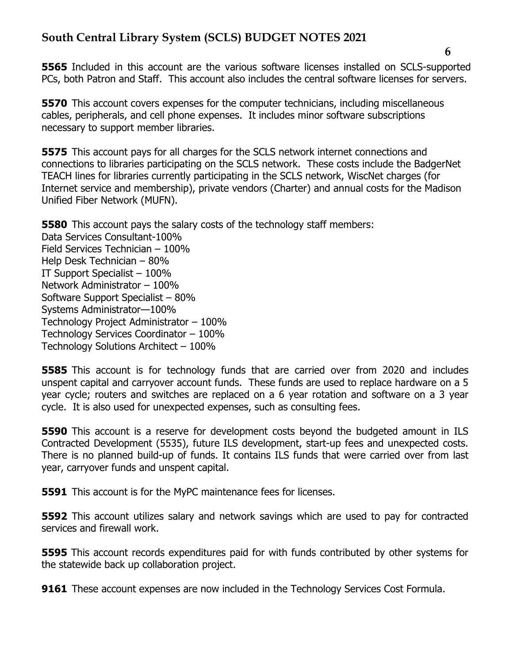**5565** Included in this account are the various software licenses installed on SCLS-supported PCs, both Patron and Staff. This account also includes the central software licenses for servers.

**5570** This account covers expenses for the computer technicians, including miscellaneous cables, peripherals, and cell phone expenses. It includes minor software subscriptions necessary to support member libraries.

**5575** This account pays for all charges for the SCLS network internet connections and connections to libraries participating on the SCLS network. These costs include the BadgerNet TEACH lines for libraries currently participating in the SCLS network, WiscNet charges (for Internet service and membership), private vendors (Charter) and annual costs for the Madison Unified Fiber Network (MUFN).

**5580** This account pays the salary costs of the technology staff members: Data Services Consultant-100% Field Services Technician – 100% Help Desk Technician – 80% IT Support Specialist – 100% Network Administrator – 100% Software Support Specialist – 80% Systems Administrator—100% Technology Project Administrator – 100% Technology Services Coordinator – 100% Technology Solutions Architect – 100%

**5585** This account is for technology funds that are carried over from 2020 and includes unspent capital and carryover account funds. These funds are used to replace hardware on a 5 year cycle; routers and switches are replaced on a 6 year rotation and software on a 3 year cycle. It is also used for unexpected expenses, such as consulting fees.

**5590** This account is a reserve for development costs beyond the budgeted amount in ILS Contracted Development (5535), future ILS development, start-up fees and unexpected costs. There is no planned build-up of funds. It contains ILS funds that were carried over from last year, carryover funds and unspent capital.

**5591** This account is for the MyPC maintenance fees for licenses.

5592 This account utilizes salary and network savings which are used to pay for contracted services and firewall work.

**5595** This account records expenditures paid for with funds contributed by other systems for the statewide back up collaboration project.

**9161** These account expenses are now included in the Technology Services Cost Formula.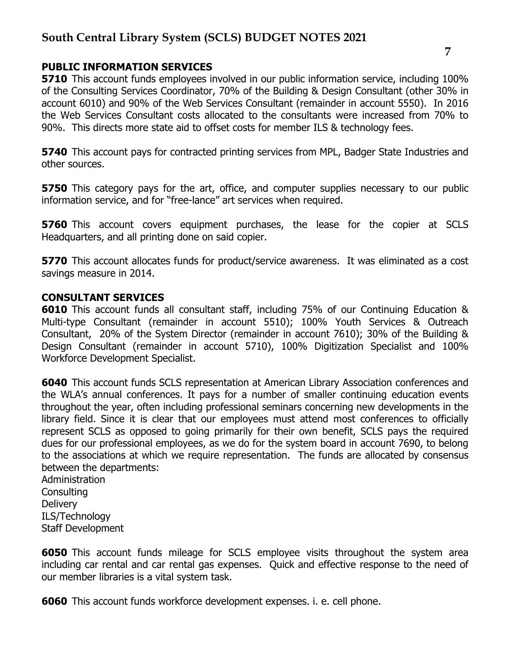#### PUBLIC INFORMATION SERVICES

**5710** This account funds employees involved in our public information service, including 100% of the Consulting Services Coordinator, 70% of the Building & Design Consultant (other 30% in account 6010) and 90% of the Web Services Consultant (remainder in account 5550). In 2016 the Web Services Consultant costs allocated to the consultants were increased from 70% to 90%. This directs more state aid to offset costs for member ILS & technology fees.

**5740** This account pays for contracted printing services from MPL, Badger State Industries and other sources.

**5750** This category pays for the art, office, and computer supplies necessary to our public information service, and for "free-lance" art services when required.

**5760** This account covers equipment purchases, the lease for the copier at SCLS Headquarters, and all printing done on said copier.

**5770** This account allocates funds for product/service awareness. It was eliminated as a cost savings measure in 2014.

#### CONSULTANT SERVICES

6010 This account funds all consultant staff, including 75% of our Continuing Education & Multi-type Consultant (remainder in account 5510); 100% Youth Services & Outreach Consultant, 20% of the System Director (remainder in account 7610); 30% of the Building & Design Consultant (remainder in account 5710), 100% Digitization Specialist and 100% Workforce Development Specialist.

6040 This account funds SCLS representation at American Library Association conferences and the WLA's annual conferences. It pays for a number of smaller continuing education events throughout the year, often including professional seminars concerning new developments in the library field. Since it is clear that our employees must attend most conferences to officially represent SCLS as opposed to going primarily for their own benefit, SCLS pays the required dues for our professional employees, as we do for the system board in account 7690, to belong to the associations at which we require representation. The funds are allocated by consensus between the departments:

Administration **Consulting Delivery** ILS/Technology Staff Development

**6050** This account funds mileage for SCLS employee visits throughout the system area including car rental and car rental gas expenses. Quick and effective response to the need of our member libraries is a vital system task.

6060 This account funds workforce development expenses. i. e. cell phone.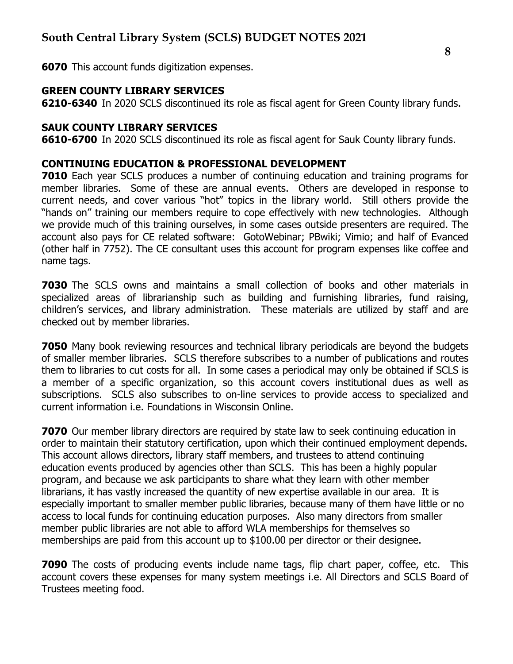6070 This account funds digitization expenses.

#### GREEN COUNTY LIBRARY SERVICES

6210-6340 In 2020 SCLS discontinued its role as fiscal agent for Green County library funds.

#### SAUK COUNTY LIBRARY SERVICES

6610-6700 In 2020 SCLS discontinued its role as fiscal agent for Sauk County library funds.

#### CONTINUING EDUCATION & PROFESSIONAL DEVELOPMENT

7010 Each year SCLS produces a number of continuing education and training programs for member libraries. Some of these are annual events. Others are developed in response to current needs, and cover various "hot" topics in the library world. Still others provide the "hands on" training our members require to cope effectively with new technologies. Although we provide much of this training ourselves, in some cases outside presenters are required. The account also pays for CE related software: GotoWebinar; PBwiki; Vimio; and half of Evanced (other half in 7752). The CE consultant uses this account for program expenses like coffee and name tags.

**7030** The SCLS owns and maintains a small collection of books and other materials in specialized areas of librarianship such as building and furnishing libraries, fund raising, children's services, and library administration. These materials are utilized by staff and are checked out by member libraries.

**7050** Many book reviewing resources and technical library periodicals are beyond the budgets of smaller member libraries. SCLS therefore subscribes to a number of publications and routes them to libraries to cut costs for all. In some cases a periodical may only be obtained if SCLS is a member of a specific organization, so this account covers institutional dues as well as subscriptions. SCLS also subscribes to on-line services to provide access to specialized and current information i.e. Foundations in Wisconsin Online.

**7070** Our member library directors are required by state law to seek continuing education in order to maintain their statutory certification, upon which their continued employment depends. This account allows directors, library staff members, and trustees to attend continuing education events produced by agencies other than SCLS. This has been a highly popular program, and because we ask participants to share what they learn with other member librarians, it has vastly increased the quantity of new expertise available in our area. It is especially important to smaller member public libraries, because many of them have little or no access to local funds for continuing education purposes. Also many directors from smaller member public libraries are not able to afford WLA memberships for themselves so memberships are paid from this account up to \$100.00 per director or their designee.

**7090** The costs of producing events include name tags, flip chart paper, coffee, etc. This account covers these expenses for many system meetings i.e. All Directors and SCLS Board of Trustees meeting food.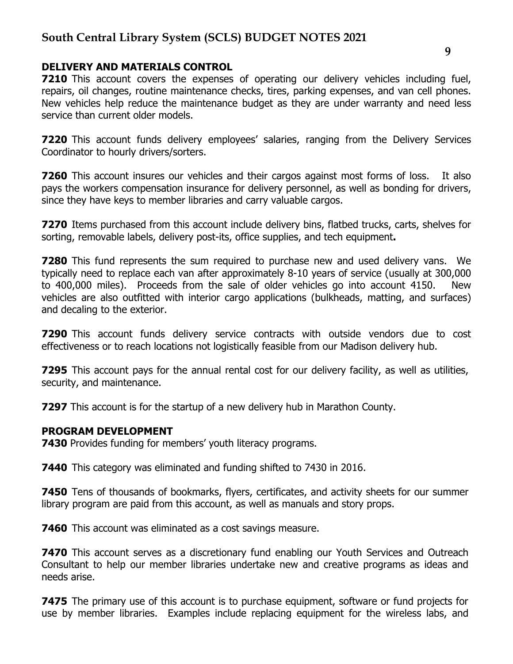#### DELIVERY AND MATERIALS CONTROL

**7210** This account covers the expenses of operating our delivery vehicles including fuel, repairs, oil changes, routine maintenance checks, tires, parking expenses, and van cell phones. New vehicles help reduce the maintenance budget as they are under warranty and need less service than current older models.

**7220** This account funds delivery employees' salaries, ranging from the Delivery Services Coordinator to hourly drivers/sorters.

**7260** This account insures our vehicles and their cargos against most forms of loss. It also pays the workers compensation insurance for delivery personnel, as well as bonding for drivers, since they have keys to member libraries and carry valuable cargos.

**7270** Items purchased from this account include delivery bins, flatbed trucks, carts, shelves for sorting, removable labels, delivery post-its, office supplies, and tech equipment.

**7280** This fund represents the sum required to purchase new and used delivery vans. We typically need to replace each van after approximately 8-10 years of service (usually at 300,000 to 400,000 miles). Proceeds from the sale of older vehicles go into account 4150. New vehicles are also outfitted with interior cargo applications (bulkheads, matting, and surfaces) and decaling to the exterior.

**7290** This account funds delivery service contracts with outside vendors due to cost effectiveness or to reach locations not logistically feasible from our Madison delivery hub.

**7295** This account pays for the annual rental cost for our delivery facility, as well as utilities, security, and maintenance.

**7297** This account is for the startup of a new delivery hub in Marathon County.

#### PROGRAM DEVELOPMENT

**7430** Provides funding for members' youth literacy programs.

7440 This category was eliminated and funding shifted to 7430 in 2016.

**7450** Tens of thousands of bookmarks, flyers, certificates, and activity sheets for our summer library program are paid from this account, as well as manuals and story props.

**7460** This account was eliminated as a cost savings measure.

**7470** This account serves as a discretionary fund enabling our Youth Services and Outreach Consultant to help our member libraries undertake new and creative programs as ideas and needs arise.

**7475** The primary use of this account is to purchase equipment, software or fund projects for use by member libraries. Examples include replacing equipment for the wireless labs, and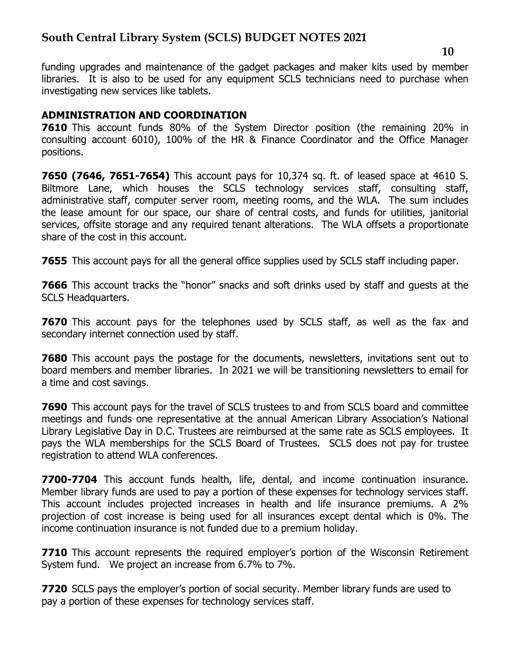funding upgrades and maintenance of the gadget packages and maker kits used by member libraries. It is also to be used for any equipment SCLS technicians need to purchase when investigating new services like tablets.

### ADMINISTRATION AND COORDINATION

**7610** This account funds 80% of the System Director position (the remaining 20% in consulting account 6010), 100% of the HR & Finance Coordinator and the Office Manager positions.

7650 (7646, 7651-7654) This account pays for 10,374 sq. ft. of leased space at 4610 S. Biltmore Lane, which houses the SCLS technology services staff, consulting staff, administrative staff, computer server room, meeting rooms, and the WLA. The sum includes the lease amount for our space, our share of central costs, and funds for utilities, janitorial services, offsite storage and any required tenant alterations. The WLA offsets a proportionate share of the cost in this account.

**7655** This account pays for all the general office supplies used by SCLS staff including paper.

**7666** This account tracks the "honor" snacks and soft drinks used by staff and guests at the SCLS Headquarters.

7670 This account pays for the telephones used by SCLS staff, as well as the fax and secondary internet connection used by staff.

**7680** This account pays the postage for the documents, newsletters, invitations sent out to board members and member libraries. In 2021 we will be transitioning newsletters to email for a time and cost savings.

**7690** This account pays for the travel of SCLS trustees to and from SCLS board and committee meetings and funds one representative at the annual American Library Association's National Library Legislative Day in D.C. Trustees are reimbursed at the same rate as SCLS employees. It pays the WLA memberships for the SCLS Board of Trustees. SCLS does not pay for trustee registration to attend WLA conferences.

7700-7704 This account funds health, life, dental, and income continuation insurance. Member library funds are used to pay a portion of these expenses for technology services staff. This account includes projected increases in health and life insurance premiums. A 2% projection of cost increase is being used for all insurances except dental which is 0%. The income continuation insurance is not funded due to a premium holiday.

**7710** This account represents the required employer's portion of the Wisconsin Retirement System fund. We project an increase from 6.7% to 7%.

**7720** SCLS pays the employer's portion of social security. Member library funds are used to pay a portion of these expenses for technology services staff.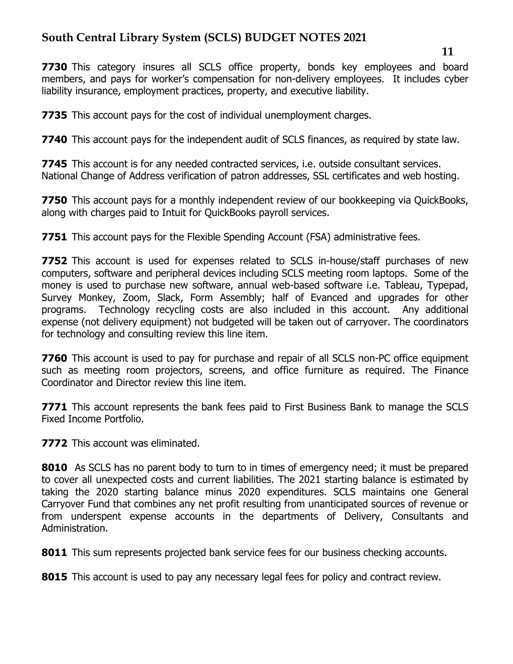**7730** This category insures all SCLS office property, bonds key employees and board members, and pays for worker's compensation for non-delivery employees. It includes cyber liability insurance, employment practices, property, and executive liability.

**7735** This account pays for the cost of individual unemployment charges.

**7740** This account pays for the independent audit of SCLS finances, as required by state law.

**7745** This account is for any needed contracted services, i.e. outside consultant services. National Change of Address verification of patron addresses, SSL certificates and web hosting.

**7750** This account pays for a monthly independent review of our bookkeeping via QuickBooks, along with charges paid to Intuit for QuickBooks payroll services.

7751 This account pays for the Flexible Spending Account (FSA) administrative fees.

**7752** This account is used for expenses related to SCLS in-house/staff purchases of new computers, software and peripheral devices including SCLS meeting room laptops. Some of the money is used to purchase new software, annual web-based software i.e. Tableau, Typepad, Survey Monkey, Zoom, Slack, Form Assembly; half of Evanced and upgrades for other programs. Technology recycling costs are also included in this account. Any additional expense (not delivery equipment) not budgeted will be taken out of carryover. The coordinators for technology and consulting review this line item.

**7760** This account is used to pay for purchase and repair of all SCLS non-PC office equipment such as meeting room projectors, screens, and office furniture as required. The Finance Coordinator and Director review this line item.

**7771** This account represents the bank fees paid to First Business Bank to manage the SCLS Fixed Income Portfolio.

**7772** This account was eliminated.

8010 As SCLS has no parent body to turn to in times of emergency need; it must be prepared to cover all unexpected costs and current liabilities. The 2021 starting balance is estimated by taking the 2020 starting balance minus 2020 expenditures. SCLS maintains one General Carryover Fund that combines any net profit resulting from unanticipated sources of revenue or from underspent expense accounts in the departments of Delivery, Consultants and Administration.

8011 This sum represents projected bank service fees for our business checking accounts.

8015 This account is used to pay any necessary legal fees for policy and contract review.